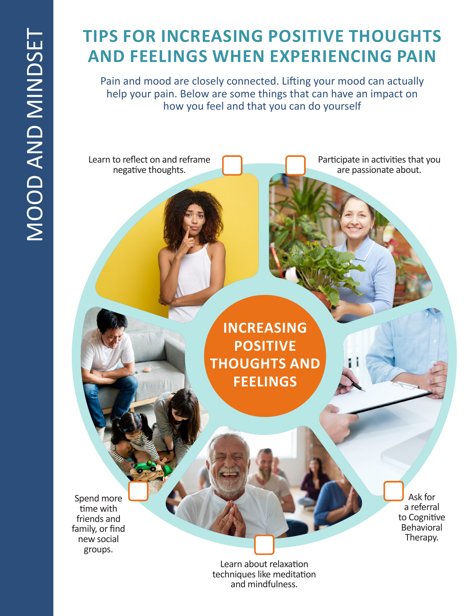# **TIPS FOR INCREASING POSITIVE THOUGHTS AND FEELINGS WHEN EXPERIENCING PAIN**

Pain and mood are closely connected. Lifting your mood can actually help your pain. Below are some things that can have an impact on how you feel and that you can do yourself

Learn to reflect on and reframe negative thoughts.

Participate in activities that you are passionate about.

**INCREASING POSITIVE THOUGHTS AND FEELINGS**

Spend more time with friends and family, or find new social groups.

Ask for a referral to Cognitive Behavioral Therapy.

Learn about relaxation techniques like meditation and mindfulness.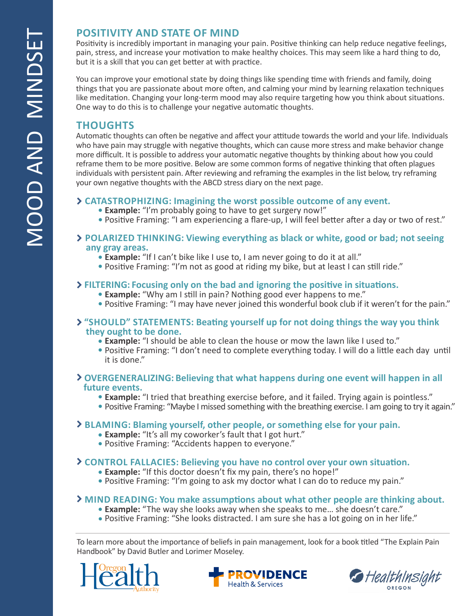# **POSITIVITY AND STATE OF MIND**

Positivity is incredibly important in managing your pain. Positive thinking can help reduce negative feelings, pain, stress, and increase your motivation to make healthy choices. This may seem like a hard thing to do, but it is a skill that you can get better at with practice.

You can improve your emotional state by doing things like spending time with friends and family, doing things that you are passionate about more often, and calming your mind by learning relaxation techniques like meditation. Changing your long-term mood may also require targeting how you think about situations. One way to do this is to challenge your negative automatic thoughts.

## **THOUGHTS**

Automatic thoughts can often be negative and affect your attitude towards the world and your life. Individuals who have pain may struggle with negative thoughts, which can cause more stress and make behavior change more difficult. It is possible to address your automatic negative thoughts by thinking about how you could reframe them to be more positive. Below are some common forms of negative thinking that often plagues individuals with persistent pain. After reviewing and reframing the examples in the list below, try reframing your own negative thoughts with the ABCD stress diary on the next page.

### **CATASTROPHIZING: Imagining the worst possible outcome of any event.**

- **Example:** "I'm probably going to have to get surgery now!"
- Positive Framing: "I am experiencing a flare-up, I will feel better after a day or two of rest."
- **POLARIZED THINKING: Viewing everything as black or white, good or bad; not seeing any gray areas.**
	- **Example:** "If I can't bike like I use to, I am never going to do it at all."
	- Positive Framing: "I'm not as good at riding my bike, but at least I can still ride."

### **FILTERING: Focusing only on the bad and ignoring the positive in situations.**

- **Example:** "Why am I still in pain? Nothing good ever happens to me."
- Positive Framing: "I may have never joined this wonderful book club if it weren't for the pain."

### **"SHOULD" STATEMENTS: Beating yourself up for not doing things the way you think they ought to be done.**

- **Example:** "I should be able to clean the house or mow the lawn like I used to."
- Positive Framing: "I don't need to complete everything today. I will do a little each day until it is done."

### **OVERGENERALIZING: Believing that what happens during one event will happen in all future events.**

- **Example:** "I tried that breathing exercise before, and it failed. Trying again is pointless."
- Positive Framing: "Maybe I missed something with the breathing exercise. I am going to try it again."

### **BLAMING: Blaming yourself, other people, or something else for your pain.**

- **Example:** "It's all my coworker's fault that I got hurt."
- Positive Framing: "Accidents happen to everyone."

### **CONTROL FALLACIES: Believing you have no control over your own situation.**

- **Example:** "If this doctor doesn't fix my pain, there's no hope!"
- Positive Framing: "I'm going to ask my doctor what I can do to reduce my pain."

### **MIND READING: You make assumptions about what other people are thinking about.**

- **Example:** "The way she looks away when she speaks to me… she doesn't care."
- Positive Framing: "She looks distracted. I am sure she has a lot going on in her life."

To learn more about the importance of beliefs in pain management, look for a book titled "The Explain Pain Handbook" by David Butler and Lorimer Moseley.